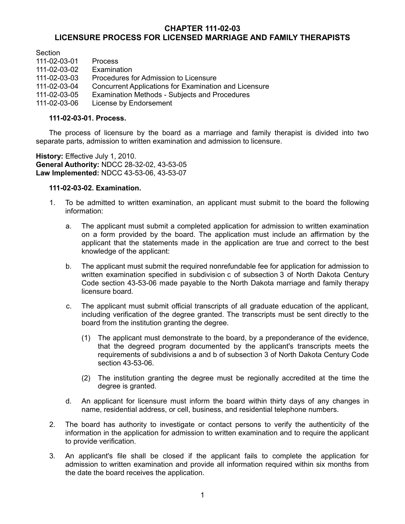## **CHAPTER 111-02-03 LICENSURE PROCESS FOR LICENSED MARRIAGE AND FAMILY THERAPISTS**

Section

| 111-02-03-01 | <b>Process</b>                                        |
|--------------|-------------------------------------------------------|
| 111-02-03-02 | Examination                                           |
| 111-02-03-03 | Procedures for Admission to Licensure                 |
| 111-02-03-04 | Concurrent Applications for Examination and Licensure |
| 111-02-03-05 | Examination Methods - Subjects and Procedures         |
| 111-02-03-06 | License by Endorsement                                |

#### **111-02-03-01. Process.**

The process of licensure by the board as a marriage and family therapist is divided into two separate parts, admission to written examination and admission to licensure.

**History:** Effective July 1, 2010. **General Authority:** NDCC 28-32-02, 43-53-05 **Law Implemented:** NDCC 43-53-06, 43-53-07

## **111-02-03-02. Examination.**

- 1. To be admitted to written examination, an applicant must submit to the board the following information:
	- a. The applicant must submit a completed application for admission to written examination on a form provided by the board. The application must include an affirmation by the applicant that the statements made in the application are true and correct to the best knowledge of the applicant:
	- b. The applicant must submit the required nonrefundable fee for application for admission to written examination specified in subdivision c of subsection 3 of North Dakota Century Code section 43-53-06 made payable to the North Dakota marriage and family therapy licensure board.
	- c. The applicant must submit official transcripts of all graduate education of the applicant, including verification of the degree granted. The transcripts must be sent directly to the board from the institution granting the degree.
		- (1) The applicant must demonstrate to the board, by a preponderance of the evidence, that the degreed program documented by the applicant's transcripts meets the requirements of subdivisions a and b of subsection 3 of North Dakota Century Code section 43-53-06.
		- (2) The institution granting the degree must be regionally accredited at the time the degree is granted.
	- d. An applicant for licensure must inform the board within thirty days of any changes in name, residential address, or cell, business, and residential telephone numbers.
- 2. The board has authority to investigate or contact persons to verify the authenticity of the information in the application for admission to written examination and to require the applicant to provide verification.
- 3. An applicant's file shall be closed if the applicant fails to complete the application for admission to written examination and provide all information required within six months from the date the board receives the application.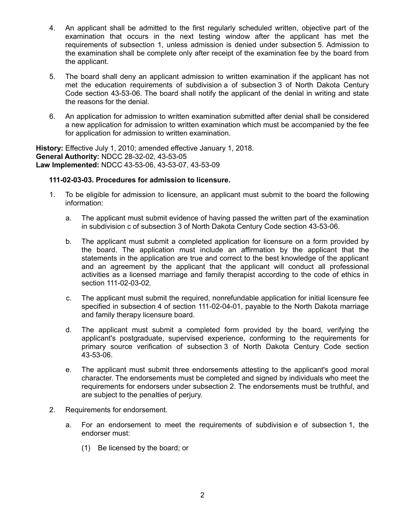- 4. An applicant shall be admitted to the first regularly scheduled written, objective part of the examination that occurs in the next testing window after the applicant has met the requirements of subsection 1, unless admission is denied under subsection 5. Admission to the examination shall be complete only after receipt of the examination fee by the board from the applicant.
- 5. The board shall deny an applicant admission to written examination if the applicant has not met the education requirements of subdivision a of subsection 3 of North Dakota Century Code section 43-53-06. The board shall notify the applicant of the denial in writing and state the reasons for the denial.
- 6. An application for admission to written examination submitted after denial shall be considered a new application for admission to written examination which must be accompanied by the fee for application for admission to written examination.

**History:** Effective July 1, 2010; amended effective January 1, 2018. **General Authority:** NDCC 28-32-02, 43-53-05 **Law Implemented:** NDCC 43-53-06, 43-53-07, 43-53-09

## **111-02-03-03. Procedures for admission to licensure.**

- 1. To be eligible for admission to licensure, an applicant must submit to the board the following information:
	- a. The applicant must submit evidence of having passed the written part of the examination in subdivision c of subsection 3 of North Dakota Century Code section 43-53-06.
	- b. The applicant must submit a completed application for licensure on a form provided by the board. The application must include an affirmation by the applicant that the statements in the application are true and correct to the best knowledge of the applicant and an agreement by the applicant that the applicant will conduct all professional activities as a licensed marriage and family therapist according to the code of ethics in section 111-02-03-02.
	- c. The applicant must submit the required, nonrefundable application for initial licensure fee specified in subsection 4 of section 111-02-04-01, payable to the North Dakota marriage and family therapy licensure board.
	- d. The applicant must submit a completed form provided by the board, verifying the applicant's postgraduate, supervised experience, conforming to the requirements for primary source verification of subsection 3 of North Dakota Century Code section 43-53-06.
	- e. The applicant must submit three endorsements attesting to the applicant's good moral character. The endorsements must be completed and signed by individuals who meet the requirements for endorsers under subsection 2. The endorsements must be truthful, and are subject to the penalties of perjury.
- 2. Requirements for endorsement.
	- a. For an endorsement to meet the requirements of subdivision e of subsection 1, the endorser must:
		- (1) Be licensed by the board; or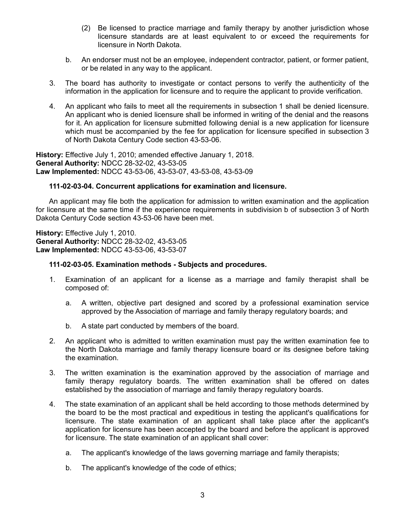- (2) Be licensed to practice marriage and family therapy by another jurisdiction whose licensure standards are at least equivalent to or exceed the requirements for licensure in North Dakota.
- b. An endorser must not be an employee, independent contractor, patient, or former patient, or be related in any way to the applicant.
- 3. The board has authority to investigate or contact persons to verify the authenticity of the information in the application for licensure and to require the applicant to provide verification.
- 4. An applicant who fails to meet all the requirements in subsection 1 shall be denied licensure. An applicant who is denied licensure shall be informed in writing of the denial and the reasons for it. An application for licensure submitted following denial is a new application for licensure which must be accompanied by the fee for application for licensure specified in subsection 3 of North Dakota Century Code section 43-53-06.

**History:** Effective July 1, 2010; amended effective January 1, 2018. **General Authority:** NDCC 28-32-02, 43-53-05 **Law Implemented:** NDCC 43-53-06, 43-53-07, 43-53-08, 43-53-09

### **111-02-03-04. Concurrent applications for examination and licensure.**

An applicant may file both the application for admission to written examination and the application for licensure at the same time if the experience requirements in subdivision b of subsection 3 of North Dakota Century Code section 43-53-06 have been met.

**History:** Effective July 1, 2010. **General Authority:** NDCC 28-32-02, 43-53-05 **Law Implemented:** NDCC 43-53-06, 43-53-07

#### **111-02-03-05. Examination methods - Subjects and procedures.**

- 1. Examination of an applicant for a license as a marriage and family therapist shall be composed of:
	- a. A written, objective part designed and scored by a professional examination service approved by the Association of marriage and family therapy regulatory boards; and
	- b. A state part conducted by members of the board.
- 2. An applicant who is admitted to written examination must pay the written examination fee to the North Dakota marriage and family therapy licensure board or its designee before taking the examination.
- 3. The written examination is the examination approved by the association of marriage and family therapy regulatory boards. The written examination shall be offered on dates established by the association of marriage and family therapy regulatory boards.
- 4. The state examination of an applicant shall be held according to those methods determined by the board to be the most practical and expeditious in testing the applicant's qualifications for licensure. The state examination of an applicant shall take place after the applicant's application for licensure has been accepted by the board and before the applicant is approved for licensure. The state examination of an applicant shall cover:
	- a. The applicant's knowledge of the laws governing marriage and family therapists;
	- b. The applicant's knowledge of the code of ethics;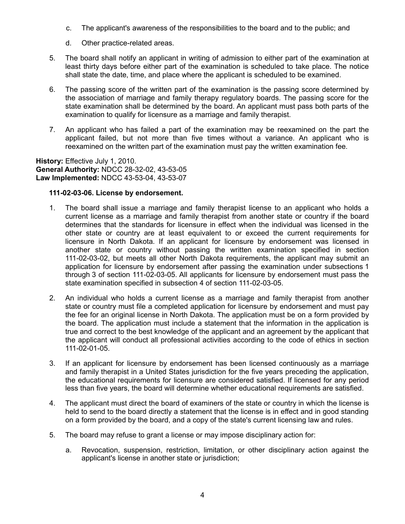- c. The applicant's awareness of the responsibilities to the board and to the public; and
- d. Other practice-related areas.
- 5. The board shall notify an applicant in writing of admission to either part of the examination at least thirty days before either part of the examination is scheduled to take place. The notice shall state the date, time, and place where the applicant is scheduled to be examined.
- 6. The passing score of the written part of the examination is the passing score determined by the association of marriage and family therapy regulatory boards. The passing score for the state examination shall be determined by the board. An applicant must pass both parts of the examination to qualify for licensure as a marriage and family therapist.
- 7. An applicant who has failed a part of the examination may be reexamined on the part the applicant failed, but not more than five times without a variance. An applicant who is reexamined on the written part of the examination must pay the written examination fee.

**History:** Effective July 1, 2010. **General Authority:** NDCC 28-32-02, 43-53-05 **Law Implemented:** NDCC 43-53-04, 43-53-07

# **111-02-03-06. License by endorsement.**

- 1. The board shall issue a marriage and family therapist license to an applicant who holds a current license as a marriage and family therapist from another state or country if the board determines that the standards for licensure in effect when the individual was licensed in the other state or country are at least equivalent to or exceed the current requirements for licensure in North Dakota. If an applicant for licensure by endorsement was licensed in another state or country without passing the written examination specified in section 111-02-03-02, but meets all other North Dakota requirements, the applicant may submit an application for licensure by endorsement after passing the examination under subsections 1 through 3 of section 111-02-03-05. All applicants for licensure by endorsement must pass the state examination specified in subsection 4 of section 111-02-03-05.
- 2. An individual who holds a current license as a marriage and family therapist from another state or country must file a completed application for licensure by endorsement and must pay the fee for an original license in North Dakota. The application must be on a form provided by the board. The application must include a statement that the information in the application is true and correct to the best knowledge of the applicant and an agreement by the applicant that the applicant will conduct all professional activities according to the code of ethics in section 111-02-01-05.
- 3. If an applicant for licensure by endorsement has been licensed continuously as a marriage and family therapist in a United States jurisdiction for the five years preceding the application, the educational requirements for licensure are considered satisfied. If licensed for any period less than five years, the board will determine whether educational requirements are satisfied.
- 4. The applicant must direct the board of examiners of the state or country in which the license is held to send to the board directly a statement that the license is in effect and in good standing on a form provided by the board, and a copy of the state's current licensing law and rules.
- 5. The board may refuse to grant a license or may impose disciplinary action for:
	- a. Revocation, suspension, restriction, limitation, or other disciplinary action against the applicant's license in another state or jurisdiction;